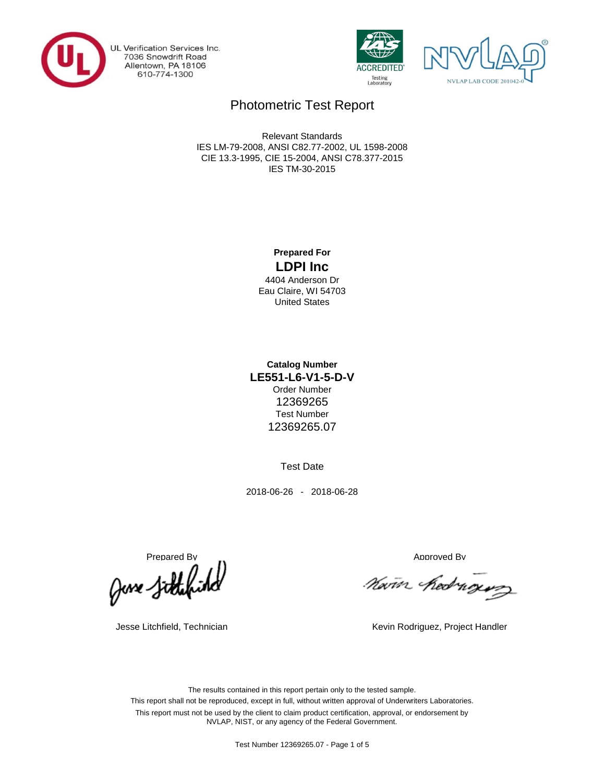

UL Verification Services Inc.<br>7036 Snowdrift Road Allentown, PA 18106 610-774-1300





# Photometric Test Report

IES TM-30-2015 CIE 13.3-1995, CIE 15-2004, ANSI C78.377-2015 IES LM-79-2008, ANSI C82.77-2002, UL 1598-2008 Relevant Standards

## **LDPI Inc Prepared For**

United States Eau Claire, WI 54703 4404 Anderson Dr

Test Number **Catalog Number LE551-L6-V1-5-D-V** 12369265 Order Number 12369265.07

Test Date

2018-06-26 - 2018-06-28

Prepared By<br>Approved By Approved By Approved By Approved By

Navin hedrogus

Jesse Litchfield, Technician **Kevin Rodriguez, Project Handler** Kevin Rodriguez, Project Handler

The results contained in this report pertain only to the tested sample. This report shall not be reproduced, except in full, without written approval of Underwriters Laboratories. This report must not be used by the client to claim product certification, approval, or endorsement by NVLAP, NIST, or any agency of the Federal Government.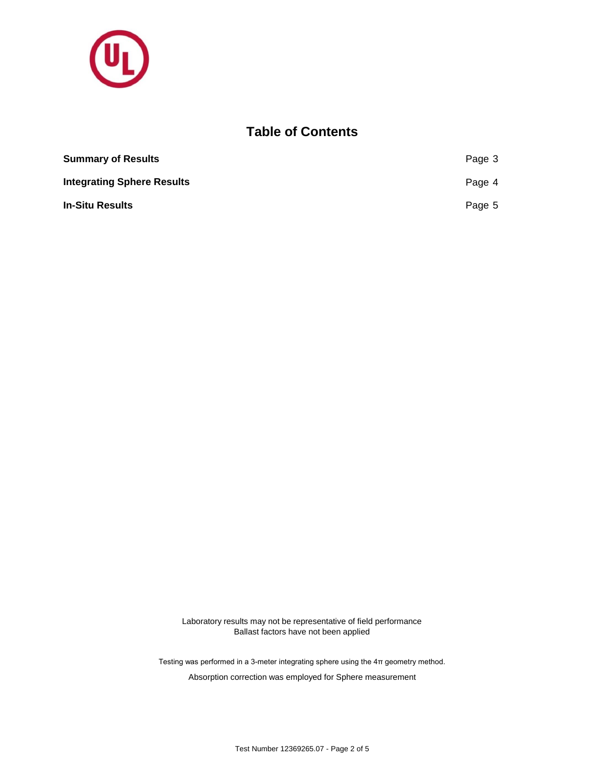

## **Table of Contents**

| <b>Summary of Results</b>         | Page 3 |
|-----------------------------------|--------|
| <b>Integrating Sphere Results</b> | Page 4 |
| <b>In-Situ Results</b>            | Page 5 |

Laboratory results may not be representative of field performance Ballast factors have not been applied

Testing was performed in a 3-meter integrating sphere using the 4π geometry method.

Absorption correction was employed for Sphere measurement

Test Number 12369265.07 - Page 2 of 5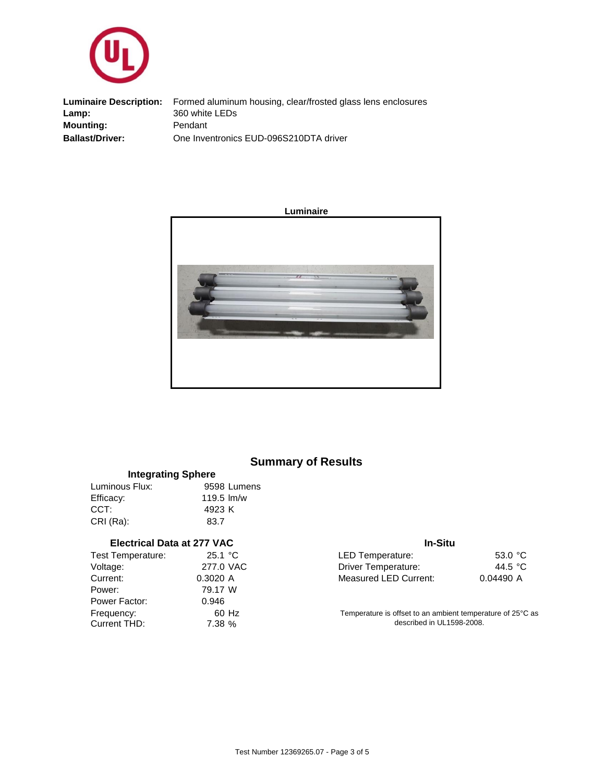

Pendant **Luminaire Description:** Formed aluminum housing, clear/frosted glass lens enclosures **Mounting:** One Inventronics EUD-096S210DTA driver 360 white LEDs **Ballast/Driver: Lamp:**



## **Summary of Results**

| <b>Integrating Sphere</b> |              |             |  |  |  |  |
|---------------------------|--------------|-------------|--|--|--|--|
| Luminous Flux:            |              | 9598 Lumens |  |  |  |  |
| Efficacy:                 | 119.5 $Im/w$ |             |  |  |  |  |
| CCT:                      | 4923 K       |             |  |  |  |  |
| CRI (Ra):                 | 83.7         |             |  |  |  |  |

#### **Electrical Data at 277 VAC**

| Test Temperature: | 25.1 °C   |
|-------------------|-----------|
| Voltage:          | 277.0 VAC |
| Current:          | 0.3020 A  |
| Power:            | 79.17 W   |
| Power Factor:     | 0.946     |
| Frequency:        | 60 Hz     |
| Current THD:      | 7.38 %    |

#### **In-Situ**

| 25.1 °C. | LED Temperature:      | 53.0 $\degree$ C |
|----------|-----------------------|------------------|
| 77.0 VAC | Driver Temperature:   | 44.5 °C          |
| 3020 A   | Measured LED Current: | 0.04490 A        |

Temperature is offset to an ambient temperature of 25°C as described in UL1598-2008.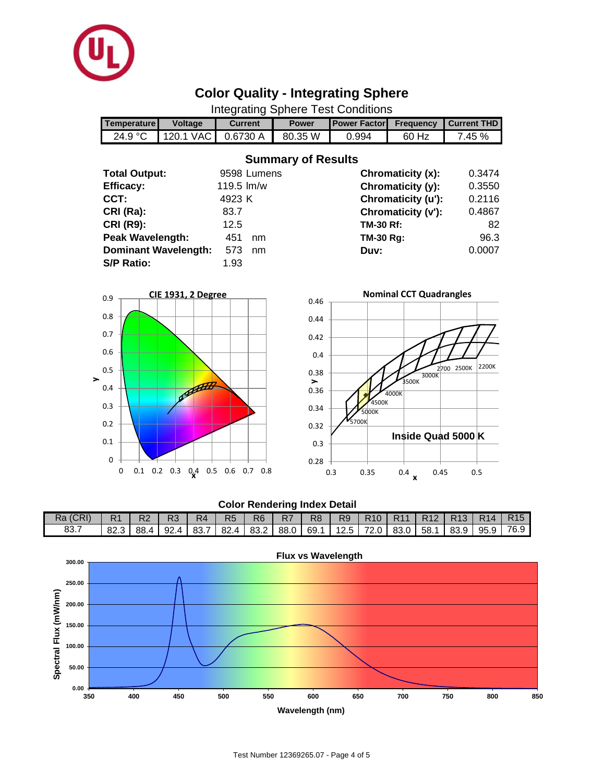

# **Color Quality - Integrating Sphere**

Integrating Sphere Test Conditions

| <b>Temperature</b>                                               | Voltage                            | <b>Current</b>           | <b>Power</b>                                                            | <b>Power Factor</b>            | <b>Frequency</b>                                                                       | <b>Current THD</b>  |
|------------------------------------------------------------------|------------------------------------|--------------------------|-------------------------------------------------------------------------|--------------------------------|----------------------------------------------------------------------------------------|---------------------|
| 24.9 °C                                                          | 120.1 VAC                          | 0.6730 A                 | 80.35 W                                                                 | 0.994                          | 60 Hz                                                                                  | 7.45 %              |
|                                                                  |                                    |                          | <b>Summary of Results</b>                                               |                                |                                                                                        |                     |
| <b>Total Output:</b>                                             |                                    | 9598 Lumens              |                                                                         |                                | Chromaticity (x):                                                                      | 0.3474              |
| <b>Efficacy:</b>                                                 |                                    | 119.5 lm/w               |                                                                         |                                | Chromaticity (y):                                                                      | 0.3550              |
| CCT:                                                             |                                    | 4923 K                   |                                                                         |                                | Chromaticity (u'):                                                                     | 0.2116              |
| CRI (Ra):                                                        |                                    | 83.7                     |                                                                         |                                | Chromaticity (v'):                                                                     | 0.4867              |
| <b>CRI (R9):</b>                                                 |                                    | 12.5                     |                                                                         | <b>TM-30 Rf:</b>               |                                                                                        | 82                  |
|                                                                  | Peak Wavelength:                   | 451<br>nm                |                                                                         | <b>TM-30 Rg:</b>               |                                                                                        | 96.3                |
|                                                                  | <b>Dominant Wavelength:</b>        | 573<br>nm                |                                                                         | Duv:                           |                                                                                        | 0.0007              |
| <b>S/P Ratio:</b>                                                |                                    | 1.93                     |                                                                         |                                |                                                                                        |                     |
| 0.9<br>0.8<br>0.7<br>0.6<br>0.5<br>➤<br>0.4<br>0.3<br>0.2<br>0.1 | <b>CIE 1931, 2 Degree</b><br>aster |                          | 0.46<br>0.44<br>0.42<br>0.4<br>0.38<br>➤<br>0.36<br>0.34<br>0.32<br>0.3 | 4500K<br><b>5000K</b><br>5700K | <b>Nominal CCT Quadrangles</b><br>3000K<br>3500K<br>4000K<br>Inside Quad $5000 \times$ | 2200K<br>2700 2500K |
| $\mathbf 0$<br>0<br>0.1                                          | $0.2$ 0.3<br>0.4                   | 0.6<br>0.5<br>0.7<br>0.8 | 0.28                                                                    | 0.3<br>0.35                    | 0.4<br>0.45<br>x                                                                       | 0.5                 |

### **Color Rendering Index Detail**

| Ra (CRI) |        | R <sub>2</sub>                                                                                                 | R <sub>3</sub> | R <sub>4</sub> | <b>R5</b> | R <sub>6</sub> | <b>R7</b> 1 | <b>R8</b> | R9 | <b>R10 L</b> | <b>R11</b> | R12   R13   R14   R15 |  |
|----------|--------|----------------------------------------------------------------------------------------------------------------|----------------|----------------|-----------|----------------|-------------|-----------|----|--------------|------------|-----------------------|--|
| 83.7     | 82.3 L | ່ 88.4   92.4   83.7   82.4   83.2   88.0   69.1   12.5   72.0   83.0   58.1   83.9   95.9   76.9 <sub> </sub> |                |                |           |                |             |           |    |              |            |                       |  |